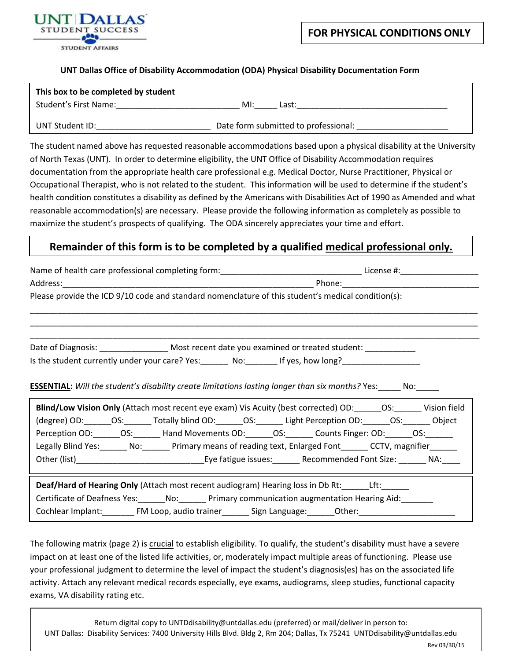

## **UNT Dallas Office of Disability Accommodation (ODA) Physical Disability Documentation Form**

| This box to be completed by student |                                      |
|-------------------------------------|--------------------------------------|
| Student's First Name:               | MI:<br>Last:                         |
| UNT Student ID:                     | Date form submitted to professional: |

The student named above has requested reasonable accommodations based upon a physical disability at the University of North Texas (UNT). In order to determine eligibility, the UNT Office of Disability Accommodation requires documentation from the appropriate health care professional e.g. Medical Doctor, Nurse Practitioner, Physical or Occupational Therapist, who is not related to the student. This information will be used to determine if the student's health condition constitutes a disability as defined by the Americans with Disabilities Act of 1990 as Amended and what reasonable accommodation(s) are necessary. Please provide the following information as completely as possible to maximize the student's prospects of qualifying. The ODA sincerely appreciates your time and effort.

## **Remainder of this form is to be completed by a qualified medical professional only.**

| Please provide the ICD 9/10 code and standard nomenclature of this student's medical condition(s):  |                                                                                                                                                                                                                                                                                                                                                                                                                                                                                                                                                                                    |  |  |  |  |  |
|-----------------------------------------------------------------------------------------------------|------------------------------------------------------------------------------------------------------------------------------------------------------------------------------------------------------------------------------------------------------------------------------------------------------------------------------------------------------------------------------------------------------------------------------------------------------------------------------------------------------------------------------------------------------------------------------------|--|--|--|--|--|
|                                                                                                     |                                                                                                                                                                                                                                                                                                                                                                                                                                                                                                                                                                                    |  |  |  |  |  |
|                                                                                                     | Date of Diagnosis: ______________________ Most recent date you examined or treated student: _____________                                                                                                                                                                                                                                                                                                                                                                                                                                                                          |  |  |  |  |  |
|                                                                                                     | Is the student currently under your care? Yes: _______ No: _______ If yes, how long? ____________________                                                                                                                                                                                                                                                                                                                                                                                                                                                                          |  |  |  |  |  |
|                                                                                                     | <b>ESSENTIAL:</b> Will the student's disability create limitations lasting longer than six months? Yes: No: No:<br>Blind/Low Vision Only (Attach most recent eye exam) Vis Acuity (best corrected) OD: 0S: Vision field<br>(degree) OD: _______OS: _______ Totally blind OD: _______OS: _______ Light Perception OD: _______OS: _______ Object<br>Perception OD: ______OS: _______ Hand Movements OD: _______OS: _______ Counts Finger: OD: _______OS: ______<br>Legally Blind Yes: _______ No: _______ Primary means of reading text, Enlarged Font ______ CCTV, magnifier ______ |  |  |  |  |  |
| Cochlear Implant: FM Loop, audio trainer ________ Sign Language: ______Other: _____________________ | <b>Deaf/Hard of Hearing Only</b> (Attach most recent audiogram) Hearing loss in Db Rt: Lit:<br>Certificate of Deafness Yes: _______ No: _______ Primary communication augmentation Hearing Aid: _______                                                                                                                                                                                                                                                                                                                                                                            |  |  |  |  |  |

The following matrix (page 2) is crucial to establish eligibility. To qualify, the student's disability must have a severe impact on at least one of the listed life activities, or, moderately impact multiple areas of functioning. Please use your professional judgment to determine the level of impact the student's diagnosis(es) has on the associated life activity. Attach any relevant medical records especially, eye exams, audiograms, sleep studies, functional capacity exams, VA disability rating etc.

Return digital copy to UNT[Ddisability@untdall](mailto:odadoc@unt.edu)as.edu (preferred) or mail/deliver in person to: UNT Dallas: Disability Services: 7400 University Hills Blvd. Bldg 2, Rm 204; Dallas, Tx 75241 UNTDdisability@untdallas.edu